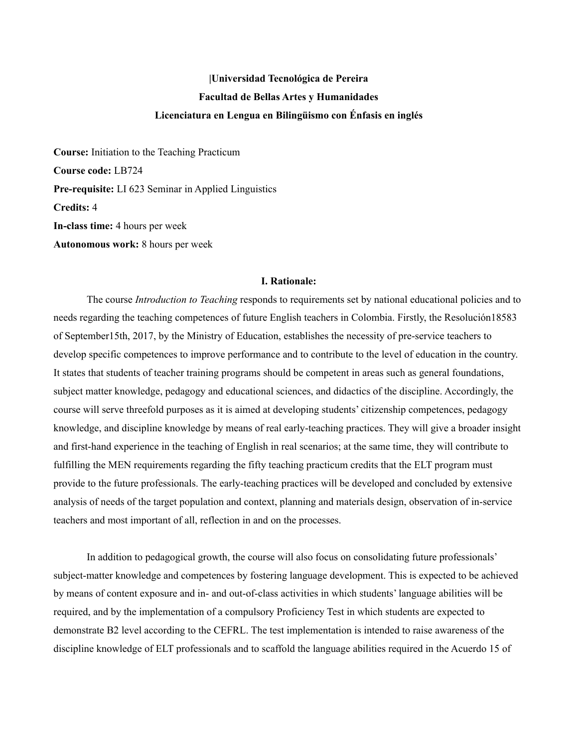# **|Universidad Tecnológica de Pereira Facultad de Bellas Artes y Humanidades Licenciatura en Lengua en Bilingüismo con Énfasis en inglés**

**Course:** Initiation to the Teaching Practicum **Course code:** LB724 **Pre-requisite:** LI 623 Seminar in Applied Linguistics **Credits:** 4 **In-class time:** 4 hours per week **Autonomous work:** 8 hours per week

### **I. Rationale:**

The course *Introduction to Teaching* responds to requirements set by national educational policies and to needs regarding the teaching competences of future English teachers in Colombia. Firstly, the Resolución18583 of September15th, 2017, by the Ministry of Education, establishes the necessity of pre-service teachers to develop specific competences to improve performance and to contribute to the level of education in the country. It states that students of teacher training programs should be competent in areas such as general foundations, subject matter knowledge, pedagogy and educational sciences, and didactics of the discipline. Accordingly, the course will serve threefold purposes as it is aimed at developing students' citizenship competences, pedagogy knowledge, and discipline knowledge by means of real early-teaching practices. They will give a broader insight and first-hand experience in the teaching of English in real scenarios; at the same time, they will contribute to fulfilling the MEN requirements regarding the fifty teaching practicum credits that the ELT program must provide to the future professionals. The early-teaching practices will be developed and concluded by extensive analysis of needs of the target population and context, planning and materials design, observation of in-service teachers and most important of all, reflection in and on the processes.

In addition to pedagogical growth, the course will also focus on consolidating future professionals' subject-matter knowledge and competences by fostering language development. This is expected to be achieved by means of content exposure and in- and out-of-class activities in which students' language abilities will be required, and by the implementation of a compulsory Proficiency Test in which students are expected to demonstrate B2 level according to the CEFRL. The test implementation is intended to raise awareness of the discipline knowledge of ELT professionals and to scaffold the language abilities required in the Acuerdo 15 of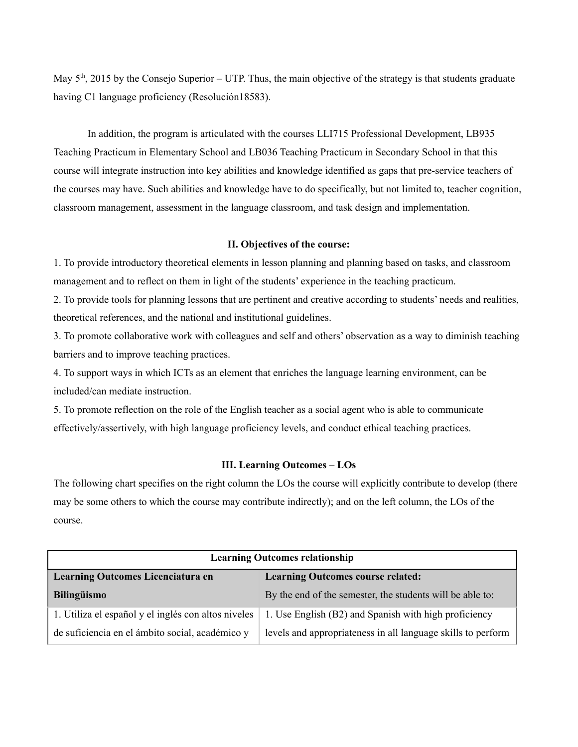May  $5<sup>th</sup>$ , 2015 by the Consejo Superior – UTP. Thus, the main objective of the strategy is that students graduate having C1 language proficiency (Resolución18583).

In addition, the program is articulated with the courses LLI715 Professional Development, LB935 Teaching Practicum in Elementary School and LB036 Teaching Practicum in Secondary School in that this course will integrate instruction into key abilities and knowledge identified as gaps that pre-service teachers of the courses may have. Such abilities and knowledge have to do specifically, but not limited to, teacher cognition, classroom management, assessment in the language classroom, and task design and implementation.

# **II. Objectives of the course:**

1. To provide introductory theoretical elements in lesson planning and planning based on tasks, and classroom management and to reflect on them in light of the students' experience in the teaching practicum.

2. To provide tools for planning lessons that are pertinent and creative according to students' needs and realities, theoretical references, and the national and institutional guidelines.

3. To promote collaborative work with colleagues and self and others' observation as a way to diminish teaching barriers and to improve teaching practices.

4. To support ways in which ICTs as an element that enriches the language learning environment, can be included/can mediate instruction.

5. To promote reflection on the role of the English teacher as a social agent who is able to communicate effectively/assertively, with high language proficiency levels, and conduct ethical teaching practices.

### **III. Learning Outcomes – LOs**

The following chart specifies on the right column the LOs the course will explicitly contribute to develop (there may be some others to which the course may contribute indirectly); and on the left column, the LOs of the course.

| <b>Learning Outcomes relationship</b>               |                                                              |  |
|-----------------------------------------------------|--------------------------------------------------------------|--|
| Learning Outcomes Licenciatura en                   | <b>Learning Outcomes course related:</b>                     |  |
| <b>Bilingüismo</b>                                  | By the end of the semester, the students will be able to:    |  |
| 1. Utiliza el español y el inglés con altos niveles | 1. Use English (B2) and Spanish with high proficiency        |  |
| de suficiencia en el ámbito social, académico y     | levels and appropriateness in all language skills to perform |  |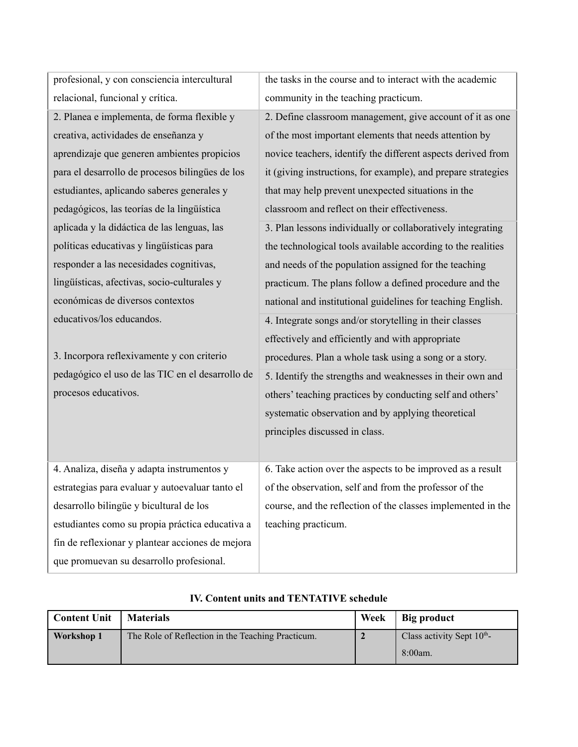profesional, y con consciencia intercultural relacional, funcional y crítica.

2. Planea e implementa, de forma flexible y creativa, actividades de enseñanza y aprendizaje que generen ambientes propicios para el desarrollo de procesos bilingües de los estudiantes, aplicando saberes generales y pedagógicos, las teorías de la lingüística aplicada y la didáctica de las lenguas, las políticas educativas y lingüísticas para responder a las necesidades cognitivas, lingüísticas, afectivas, socio-culturales y económicas de diversos contextos educativos/los educandos.

3. Incorpora reflexivamente y con criterio pedagógico el uso de las TIC en el desarrollo de procesos educativos.

4. Analiza, diseña y adapta instrumentos y estrategias para evaluar y autoevaluar tanto el desarrollo bilingüe y bicultural de los estudiantes como su propia práctica educativa a fin de reflexionar y plantear acciones de mejora que promuevan su desarrollo profesional.

| <b>Content Unit</b> | <b>Materials</b>                                  | Week | Big product                            |
|---------------------|---------------------------------------------------|------|----------------------------------------|
| Workshop 1          | The Role of Reflection in the Teaching Practicum. |      | Class activity Sept $10^{\text{th}}$ - |
|                     |                                                   |      | $8:00am$ .                             |

## **IV. Content units and TENTATIVE schedule**

| $\alpha$ of $\alpha$ and $\alpha$ of $\alpha$ and $\alpha$ and $\alpha$ and $\alpha$ |
|--------------------------------------------------------------------------------------|
| procedures. Plan a whole task using a song or a story.                               |
| 5. Identify the strengths and weaknesses in their own and                            |
| others' teaching practices by conducting self and others'                            |
| systematic observation and by applying theoretical                                   |
| principles discussed in class.                                                       |
|                                                                                      |

6. Take action over the aspects to be improved as a result of the observation, self and from the professor of the course, and the reflection of the classes implemented in the teaching practicum.

2. Define classroom management, give account of it as one of the most important elements that needs attention by novice teachers, identify the different aspects derived from it (giving instructions, for example), and prepare strategies that may help prevent unexpected situations in the classroom and reflect on their effectiveness.

3. Plan lessons individually or collaboratively integrating the technological tools available according to the realities

and needs of the population assigned for the teaching

4. Integrate songs and/or storytelling in their classes

effectively and efficiently and with appropriate

practicum. The plans follow a defined procedure and the national and institutional guidelines for teaching English.

community in the teaching practicum.

the tasks in the course and to interact with the academic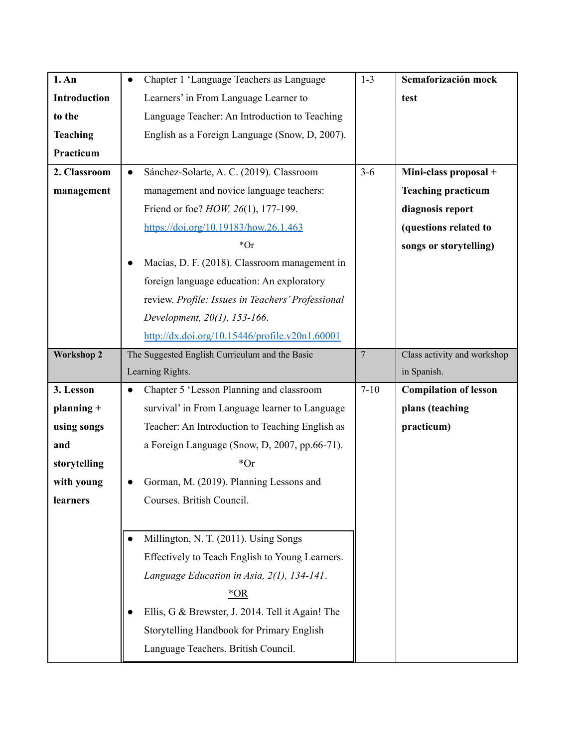| 1. An               | Chapter 1 'Language Teachers as Language                                                                | $1 - 3$        | Semaforización mock          |
|---------------------|---------------------------------------------------------------------------------------------------------|----------------|------------------------------|
| <b>Introduction</b> | Learners' in From Language Learner to                                                                   |                | test                         |
| to the              | Language Teacher: An Introduction to Teaching                                                           |                |                              |
| <b>Teaching</b>     | English as a Foreign Language (Snow, D, 2007).                                                          |                |                              |
| Practicum           |                                                                                                         |                |                              |
| 2. Classroom        | Sánchez-Solarte, A. C. (2019). Classroom<br>$\bullet$                                                   | $3-6$          | Mini-class proposal +        |
| management          | management and novice language teachers:                                                                |                | <b>Teaching practicum</b>    |
|                     | Friend or foe? <i>HOW</i> , 26(1), 177-199.                                                             |                | diagnosis report             |
|                     | https://doi.org/10.19183/how.26.1.463                                                                   |                | (questions related to        |
|                     | $*Or$                                                                                                   |                | songs or storytelling)       |
|                     | Macías, D. F. (2018). Classroom management in                                                           |                |                              |
|                     | foreign language education: An exploratory                                                              |                |                              |
|                     | review. Profile: Issues in Teachers' Professional                                                       |                |                              |
|                     | Development, 20(1), 153-166.                                                                            |                |                              |
|                     | $\frac{http://dx.doi.org/10.15446/profile.v20n1.60001}{http://dx.doi.org/10.15446/profile.v20n1.60001}$ |                |                              |
| <b>Workshop 2</b>   | The Suggested English Curriculum and the Basic                                                          | $\overline{7}$ | Class activity and workshop  |
|                     |                                                                                                         |                |                              |
|                     | Learning Rights.                                                                                        |                | in Spanish.                  |
| 3. Lesson           | Chapter 5 'Lesson Planning and classroom<br>$\bullet$                                                   | $7 - 10$       | <b>Compilation of lesson</b> |
| planning +          | survival' in From Language learner to Language                                                          |                | plans (teaching              |
| using songs         | Teacher: An Introduction to Teaching English as                                                         |                | practicum)                   |
| and                 | a Foreign Language (Snow, D, 2007, pp.66-71).                                                           |                |                              |
| storytelling        | $*Or$                                                                                                   |                |                              |
| with young          | Gorman, M. (2019). Planning Lessons and                                                                 |                |                              |
| learners            | Courses. British Council.                                                                               |                |                              |
|                     |                                                                                                         |                |                              |
|                     | Millington, N. T. (2011). Using Songs                                                                   |                |                              |
|                     | Effectively to Teach English to Young Learners.                                                         |                |                              |
|                     | Language Education in Asia, 2(1), 134-141.                                                              |                |                              |
|                     | $*OR$                                                                                                   |                |                              |
|                     | Ellis, G & Brewster, J. 2014. Tell it Again! The                                                        |                |                              |
|                     | Storytelling Handbook for Primary English                                                               |                |                              |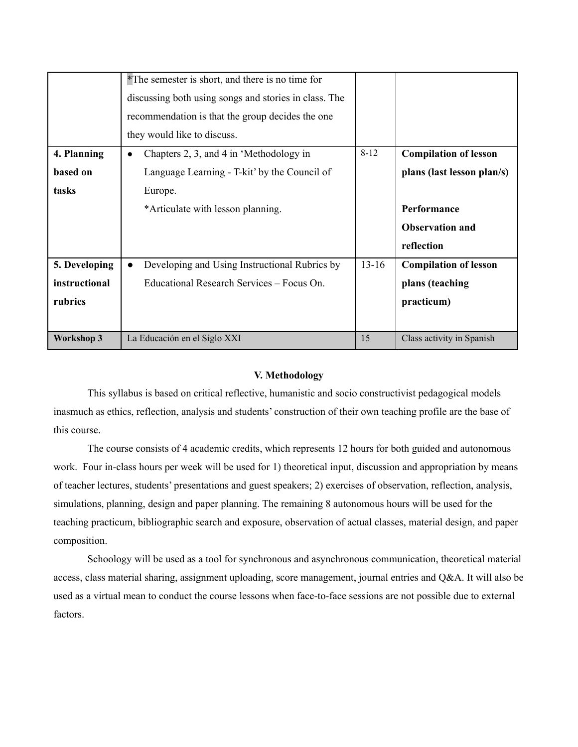|                   | *The semester is short, and there is no time for<br>discussing both using songs and stories in class. The<br>recommendation is that the group decides the one<br>they would like to discuss. |           |                              |
|-------------------|----------------------------------------------------------------------------------------------------------------------------------------------------------------------------------------------|-----------|------------------------------|
| 4. Planning       | Chapters 2, 3, and 4 in 'Methodology in<br>$\bullet$                                                                                                                                         | $8 - 12$  | <b>Compilation of lesson</b> |
| based on          | Language Learning - T-kit' by the Council of                                                                                                                                                 |           | plans (last lesson plan/s)   |
| tasks             | Europe.                                                                                                                                                                                      |           |                              |
|                   | *Articulate with lesson planning.                                                                                                                                                            |           | Performance                  |
|                   |                                                                                                                                                                                              |           | <b>Observation and</b>       |
|                   |                                                                                                                                                                                              |           | reflection                   |
| 5. Developing     | Developing and Using Instructional Rubrics by<br>$\bullet$                                                                                                                                   | $13 - 16$ | <b>Compilation of lesson</b> |
| instructional     | Educational Research Services – Focus On.                                                                                                                                                    |           | plans (teaching              |
| rubrics           |                                                                                                                                                                                              |           | practicum)                   |
|                   |                                                                                                                                                                                              |           |                              |
| <b>Workshop 3</b> | La Educación en el Siglo XXI                                                                                                                                                                 | 15        | Class activity in Spanish    |

### **V. Methodology**

This syllabus is based on critical reflective, humanistic and socio constructivist pedagogical models inasmuch as ethics, reflection, analysis and students' construction of their own teaching profile are the base of this course.

The course consists of 4 academic credits, which represents 12 hours for both guided and autonomous work. Four in-class hours per week will be used for 1) theoretical input, discussion and appropriation by means of teacher lectures, students' presentations and guest speakers; 2) exercises of observation, reflection, analysis, simulations, planning, design and paper planning. The remaining 8 autonomous hours will be used for the teaching practicum, bibliographic search and exposure, observation of actual classes, material design, and paper composition.

Schoology will be used as a tool for synchronous and asynchronous communication, theoretical material access, class material sharing, assignment uploading, score management, journal entries and Q&A. It will also be used as a virtual mean to conduct the course lessons when face-to-face sessions are not possible due to external factors.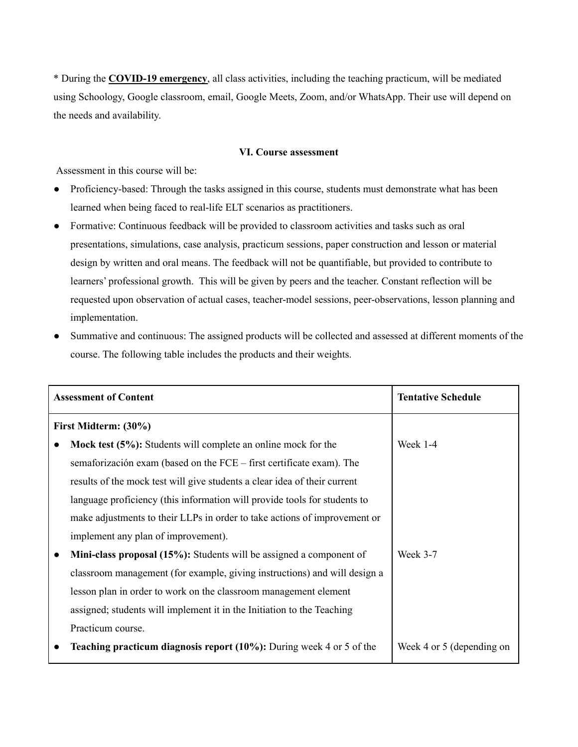\* During the **COVID-19 emergency**, all class activities, including the teaching practicum, will be mediated using Schoology, Google classroom, email, Google Meets, Zoom, and/or WhatsApp. Their use will depend on the needs and availability.

## **VI. Course assessment**

Assessment in this course will be:

- Proficiency-based: Through the tasks assigned in this course, students must demonstrate what has been learned when being faced to real-life ELT scenarios as practitioners.
- Formative: Continuous feedback will be provided to classroom activities and tasks such as oral presentations, simulations, case analysis, practicum sessions, paper construction and lesson or material design by written and oral means. The feedback will not be quantifiable, but provided to contribute to learners' professional growth. This will be given by peers and the teacher. Constant reflection will be requested upon observation of actual cases, teacher-model sessions, peer-observations, lesson planning and implementation.
- Summative and continuous: The assigned products will be collected and assessed at different moments of the course. The following table includes the products and their weights.

| <b>Assessment of Content</b> |                                                                             | <b>Tentative Schedule</b> |
|------------------------------|-----------------------------------------------------------------------------|---------------------------|
|                              | First Midterm: (30%)                                                        |                           |
|                              | Mock test (5%): Students will complete an online mock for the               | Week 1-4                  |
|                              | semaforización exam (based on the FCE – first certificate exam). The        |                           |
|                              | results of the mock test will give students a clear idea of their current   |                           |
|                              | language proficiency (this information will provide tools for students to   |                           |
|                              | make adjustments to their LLPs in order to take actions of improvement or   |                           |
|                              | implement any plan of improvement).                                         |                           |
|                              | Mini-class proposal (15%): Students will be assigned a component of         | Week 3-7                  |
|                              | classroom management (for example, giving instructions) and will design a   |                           |
|                              | lesson plan in order to work on the classroom management element            |                           |
|                              | assigned; students will implement it in the Initiation to the Teaching      |                           |
|                              | Practicum course.                                                           |                           |
|                              | <b>Teaching practicum diagnosis report (10%):</b> During week 4 or 5 of the | Week 4 or 5 (depending on |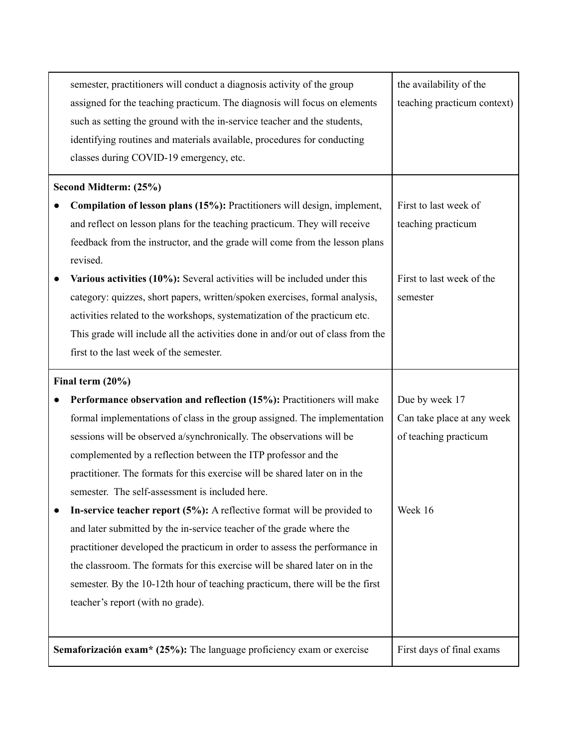| semester, practitioners will conduct a diagnosis activity of the group<br>assigned for the teaching practicum. The diagnosis will focus on elements<br>such as setting the ground with the in-service teacher and the students,<br>identifying routines and materials available, procedures for conducting<br>classes during COVID-19 emergency, etc. | the availability of the<br>teaching practicum context) |
|-------------------------------------------------------------------------------------------------------------------------------------------------------------------------------------------------------------------------------------------------------------------------------------------------------------------------------------------------------|--------------------------------------------------------|
| Second Midterm: (25%)                                                                                                                                                                                                                                                                                                                                 |                                                        |
| Compilation of lesson plans (15%): Practitioners will design, implement,                                                                                                                                                                                                                                                                              | First to last week of                                  |
| and reflect on lesson plans for the teaching practicum. They will receive                                                                                                                                                                                                                                                                             | teaching practicum                                     |
| feedback from the instructor, and the grade will come from the lesson plans                                                                                                                                                                                                                                                                           |                                                        |
| revised.                                                                                                                                                                                                                                                                                                                                              |                                                        |
| Various activities (10%): Several activities will be included under this                                                                                                                                                                                                                                                                              | First to last week of the                              |
| category: quizzes, short papers, written/spoken exercises, formal analysis,                                                                                                                                                                                                                                                                           | semester                                               |
| activities related to the workshops, systematization of the practicum etc.                                                                                                                                                                                                                                                                            |                                                        |
| This grade will include all the activities done in and/or out of class from the                                                                                                                                                                                                                                                                       |                                                        |
| first to the last week of the semester.                                                                                                                                                                                                                                                                                                               |                                                        |
| Final term $(20\%)$                                                                                                                                                                                                                                                                                                                                   |                                                        |
|                                                                                                                                                                                                                                                                                                                                                       |                                                        |
| Performance observation and reflection (15%): Practitioners will make                                                                                                                                                                                                                                                                                 | Due by week 17                                         |
| formal implementations of class in the group assigned. The implementation                                                                                                                                                                                                                                                                             | Can take place at any week                             |
| sessions will be observed a/synchronically. The observations will be                                                                                                                                                                                                                                                                                  | of teaching practicum                                  |
| complemented by a reflection between the ITP professor and the                                                                                                                                                                                                                                                                                        |                                                        |
| practitioner. The formats for this exercise will be shared later on in the                                                                                                                                                                                                                                                                            |                                                        |
| semester. The self-assessment is included here.                                                                                                                                                                                                                                                                                                       |                                                        |
| In-service teacher report $(5\%)$ : A reflective format will be provided to                                                                                                                                                                                                                                                                           | Week 16                                                |
| and later submitted by the in-service teacher of the grade where the                                                                                                                                                                                                                                                                                  |                                                        |
| practitioner developed the practicum in order to assess the performance in                                                                                                                                                                                                                                                                            |                                                        |
| the classroom. The formats for this exercise will be shared later on in the                                                                                                                                                                                                                                                                           |                                                        |
| semester. By the 10-12th hour of teaching practicum, there will be the first                                                                                                                                                                                                                                                                          |                                                        |
| teacher's report (with no grade).                                                                                                                                                                                                                                                                                                                     |                                                        |
|                                                                                                                                                                                                                                                                                                                                                       |                                                        |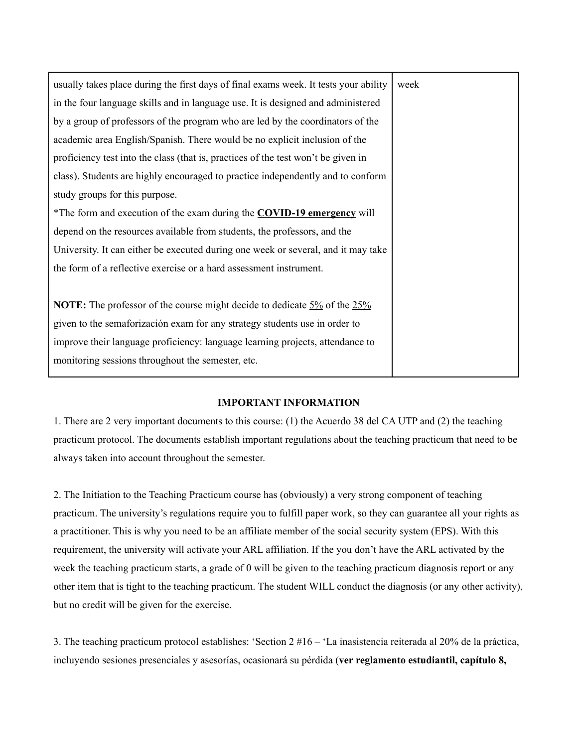| usually takes place during the first days of final exams week. It tests your ability  | week |
|---------------------------------------------------------------------------------------|------|
| in the four language skills and in language use. It is designed and administered      |      |
| by a group of professors of the program who are led by the coordinators of the        |      |
| academic area English/Spanish. There would be no explicit inclusion of the            |      |
| proficiency test into the class (that is, practices of the test won't be given in     |      |
| class). Students are highly encouraged to practice independently and to conform       |      |
| study groups for this purpose.                                                        |      |
| *The form and execution of the exam during the <b>COVID-19 emergency</b> will         |      |
| depend on the resources available from students, the professors, and the              |      |
| University. It can either be executed during one week or several, and it may take     |      |
| the form of a reflective exercise or a hard assessment instrument.                    |      |
|                                                                                       |      |
| <b>NOTE:</b> The professor of the course might decide to dedicate $5\%$ of the $25\%$ |      |
| given to the semaforización exam for any strategy students use in order to            |      |
| improve their language proficiency: language learning projects, attendance to         |      |
| monitoring sessions throughout the semester, etc.                                     |      |
|                                                                                       |      |

## **IMPORTANT INFORMATION**

1. There are 2 very important documents to this course: (1) the Acuerdo 38 del CA UTP and (2) the teaching practicum protocol. The documents establish important regulations about the teaching practicum that need to be always taken into account throughout the semester.

2. The Initiation to the Teaching Practicum course has (obviously) a very strong component of teaching practicum. The university's regulations require you to fulfill paper work, so they can guarantee all your rights as a practitioner. This is why you need to be an affiliate member of the social security system (EPS). With this requirement, the university will activate your ARL affiliation. If the you don't have the ARL activated by the week the teaching practicum starts, a grade of 0 will be given to the teaching practicum diagnosis report or any other item that is tight to the teaching practicum. The student WILL conduct the diagnosis (or any other activity), but no credit will be given for the exercise.

3. The teaching practicum protocol establishes: 'Section 2 #16 – 'La inasistencia reiterada al 20% de la práctica, incluyendo sesiones presenciales y asesorías, ocasionará su pérdida (**ver reglamento estudiantil, capítulo 8,**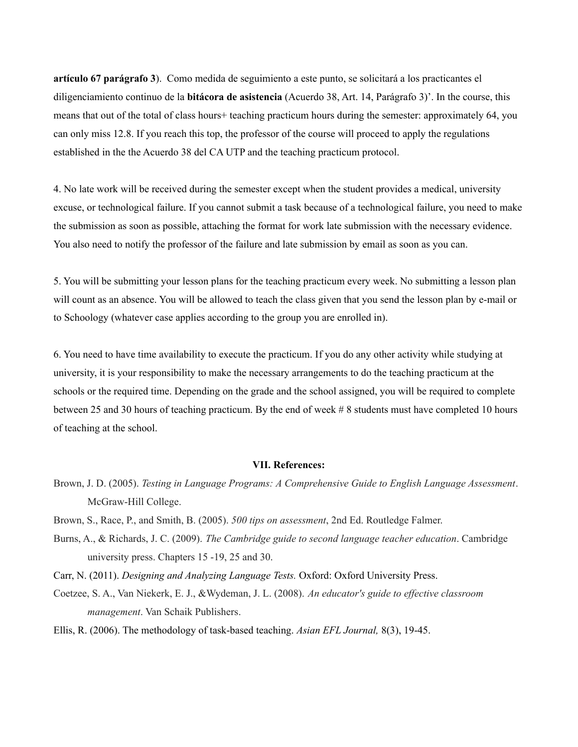**artículo 67 parágrafo 3**). Como medida de seguimiento a este punto, se solicitará a los practicantes el diligenciamiento continuo de la **bitácora de asistencia** (Acuerdo 38, Art. 14, Parágrafo 3)'. In the course, this means that out of the total of class hours+ teaching practicum hours during the semester: approximately 64, you can only miss 12.8. If you reach this top, the professor of the course will proceed to apply the regulations established in the the Acuerdo 38 del CA UTP and the teaching practicum protocol.

4. No late work will be received during the semester except when the student provides a medical, university excuse, or technological failure. If you cannot submit a task because of a technological failure, you need to make the submission as soon as possible, attaching the format for work late submission with the necessary evidence. You also need to notify the professor of the failure and late submission by email as soon as you can.

5. You will be submitting your lesson plans for the teaching practicum every week. No submitting a lesson plan will count as an absence. You will be allowed to teach the class given that you send the lesson plan by e-mail or to Schoology (whatever case applies according to the group you are enrolled in).

6. You need to have time availability to execute the practicum. If you do any other activity while studying at university, it is your responsibility to make the necessary arrangements to do the teaching practicum at the schools or the required time. Depending on the grade and the school assigned, you will be required to complete between 25 and 30 hours of teaching practicum. By the end of week # 8 students must have completed 10 hours of teaching at the school.

#### **VII. References:**

- Brown, J. D. (2005). *Testing in Language Programs: A Comprehensive Guide to English Language Assessment*. McGraw-Hill College.
- Brown, S., Race, P., and Smith, B. (2005). *500 tips on assessment*, 2nd Ed. Routledge Falmer.
- Burns, A., & Richards, J. C. (2009). *The Cambridge guide to second language teacher education*. Cambridge university press. Chapters 15 -19, 25 and 30.
- Carr, N. (2011). *Designing and Analyzing Language Tests.* Oxford: Oxford University Press.
- Coetzee, S. A., Van Niekerk, E. J., &Wydeman, J. L. (2008). *An educator's guide to ef ective classroom management*. Van Schaik Publishers.
- Ellis, R. (2006). The methodology of task-based teaching. *Asian EFL Journal,* 8(3), 19-45.